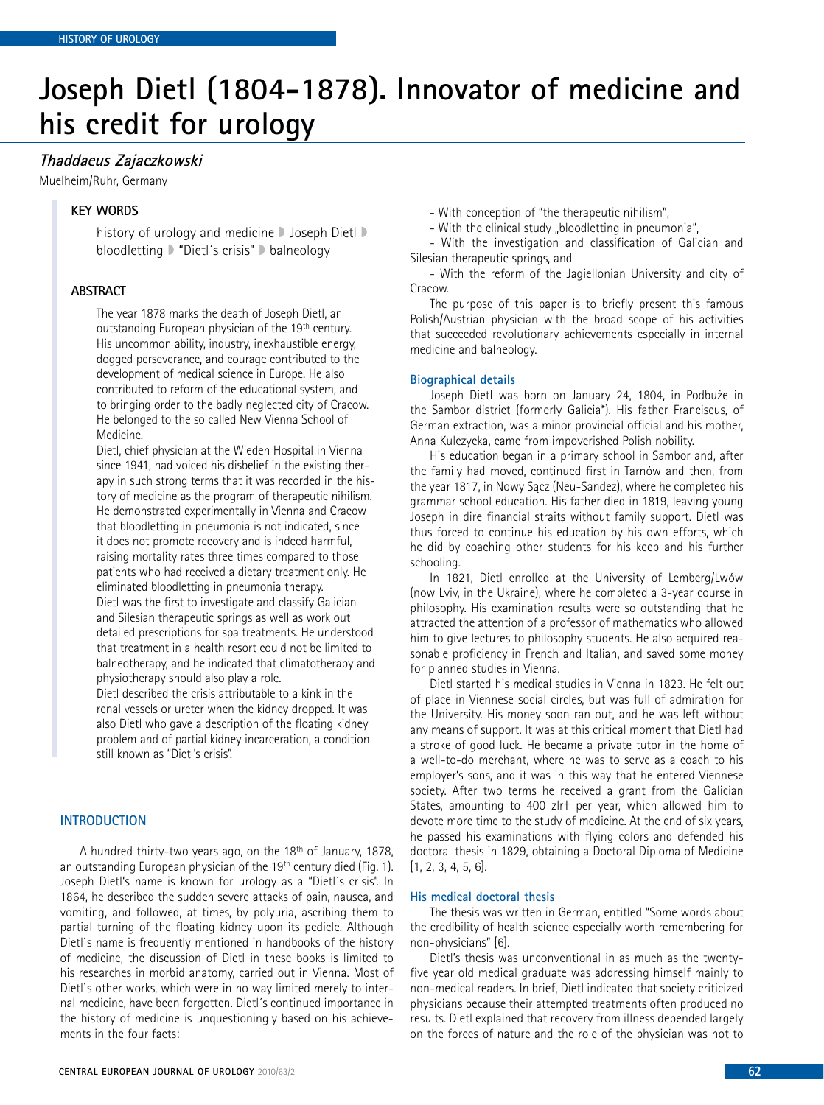# **Joseph Dietl (1804-1878). Innovator of medicine and his credit for urology**

# **Thaddaeus Zajaczkowski**

Muelheim/Ruhr, Germany

# **key words**

history of urology and medicine D Joseph Dietl D bloodletting » "Dietl´s crisis" » balneology

## **Abstract**

The year 1878 marks the death of Joseph Dietl, an outstanding European physician of the 19<sup>th</sup> century. His uncommon ability, industry, inexhaustible energy, dogged perseverance, and courage contributed to the development of medical science in Europe. He also contributed to reform of the educational system, and to bringing order to the badly neglected city of Cracow. He belonged to the so called New Vienna School of Medicine.

Dietl, chief physician at the Wieden Hospital in Vienna since 1941, had voiced his disbelief in the existing therapy in such strong terms that it was recorded in the history of medicine as the program of therapeutic nihilism. He demonstrated experimentally in Vienna and Cracow that bloodletting in pneumonia is not indicated, since it does not promote recovery and is indeed harmful, raising mortality rates three times compared to those patients who had received a dietary treatment only. He eliminated bloodletting in pneumonia therapy. Dietl was the first to investigate and classify Galician and Silesian therapeutic springs as well as work out detailed prescriptions for spa treatments. He understood that treatment in a health resort could not be limited to balneotherapy, and he indicated that climatotherapy and physiotherapy should also play a role.

Dietl described the crisis attributable to a kink in the renal vessels or ureter when the kidney dropped. It was also Dietl who gave a description of the floating kidney problem and of partial kidney incarceration, a condition still known as "Dietl's crisis".

#### **Introduction**

A hundred thirty-two years ago, on the 18th of January, 1878, an outstanding European physician of the 19<sup>th</sup> century died (Fig. 1). Joseph Dietl's name is known for urology as a "Dietl´s crisis". In 1864, he described the sudden severe attacks of pain, nausea, and vomiting, and followed, at times, by polyuria, ascribing them to partial turning of the floating kidney upon its pedicle. Although Dietl`s name is frequently mentioned in handbooks of the history of medicine, the discussion of Dietl in these books is limited to his researches in morbid anatomy, carried out in Vienna. Most of Dietl`s other works, which were in no way limited merely to internal medicine, have been forgotten. Dietl´s continued importance in the history of medicine is unquestioningly based on his achievements in the four facts:

- With conception of "the therapeutic nihilism",

- With the clinical study "bloodletting in pneumonia",

- With the investigation and classification of Galician and Silesian therapeutic springs, and

- With the reform of the Jagiellonian University and city of Cracow.

The purpose of this paper is to briefly present this famous Polish/Austrian physician with the broad scope of his activities that succeeded revolutionary achievements especially in internal medicine and balneology.

#### **Biographical details**

Joseph Dietl was born on January 24, 1804, in Podbuże in the Sambor district (formerly Galicia\*). His father Franciscus, of German extraction, was a minor provincial official and his mother, Anna Kulczycka, came from impoverished Polish nobility.

His education began in a primary school in Sambor and, after the family had moved, continued first in Tarnów and then, from the year 1817, in Nowy Sącz (Neu-Sandez), where he completed his grammar school education. His father died in 1819, leaving young Joseph in dire financial straits without family support. Dietl was thus forced to continue his education by his own efforts, which he did by coaching other students for his keep and his further schooling.

In 1821, Dietl enrolled at the University of Lemberg/Lwów (now Lviv, in the Ukraine), where he completed a 3-year course in philosophy. His examination results were so outstanding that he attracted the attention of a professor of mathematics who allowed him to give lectures to philosophy students. He also acquired reasonable proficiency in French and Italian, and saved some money for planned studies in Vienna.

Dietl started his medical studies in Vienna in 1823. He felt out of place in Viennese social circles, but was full of admiration for the University. His money soon ran out, and he was left without any means of support. It was at this critical moment that Dietl had a stroke of good luck. He became a private tutor in the home of a well-to-do merchant, where he was to serve as a coach to his employer's sons, and it was in this way that he entered Viennese society. After two terms he received a grant from the Galician States, amounting to 400 zlr† per year, which allowed him to devote more time to the study of medicine. At the end of six years, he passed his examinations with flying colors and defended his doctoral thesis in 1829, obtaining a Doctoral Diploma of Medicine [1, 2, 3, 4, 5, 6].

## **His medical doctoral thesis**

The thesis was written in German, entitled "Some words about the credibility of health science especially worth remembering for non-physicians" [6].

Dietl's thesis was unconventional in as much as the twentyfive year old medical graduate was addressing himself mainly to non-medical readers. In brief, Dietl indicated that society criticized physicians because their attempted treatments often produced no results. Dietl explained that recovery from illness depended largely on the forces of nature and the role of the physician was not to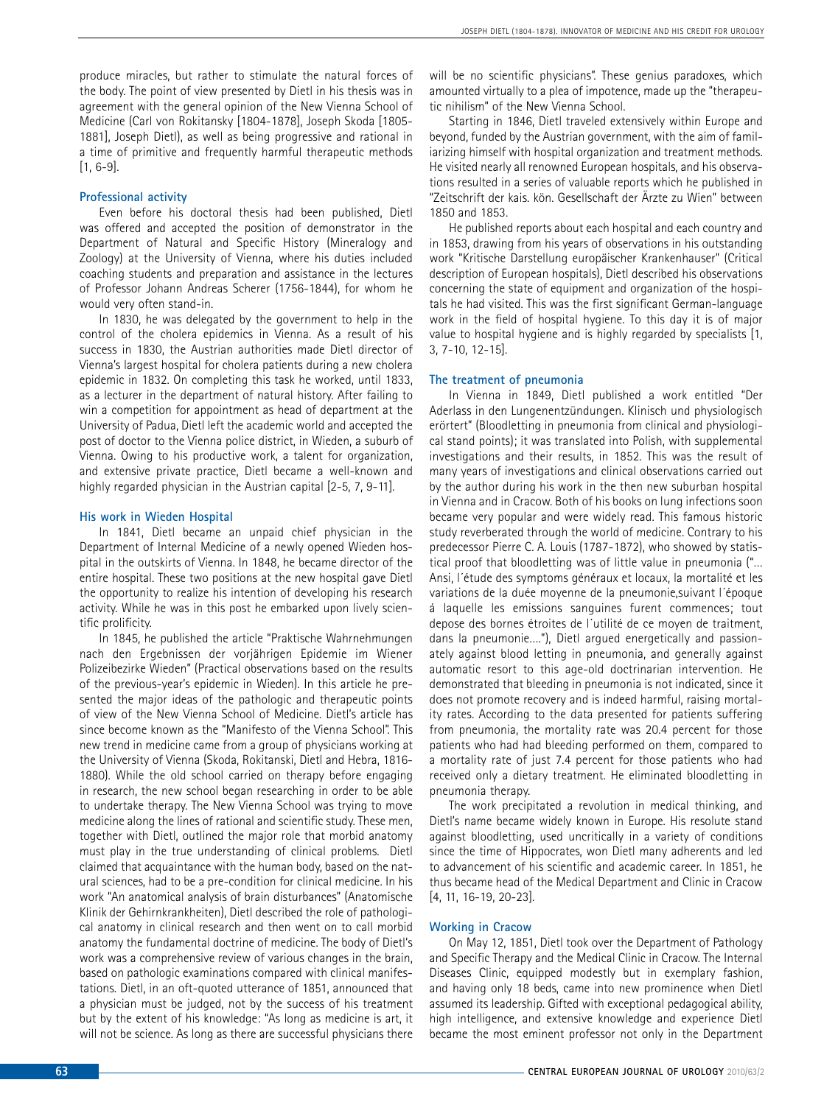produce miracles, but rather to stimulate the natural forces of the body. The point of view presented by Dietl in his thesis was in agreement with the general opinion of the New Vienna School of Medicine (Carl von Rokitansky [1804-1878], Joseph Skoda [1805- 1881], Joseph Dietl), as well as being progressive and rational in a time of primitive and frequently harmful therapeutic methods [1, 6-9].

## **Professional activity**

Even before his doctoral thesis had been published, Dietl was offered and accepted the position of demonstrator in the Department of Natural and Specific History (Mineralogy and Zoology) at the University of Vienna, where his duties included coaching students and preparation and assistance in the lectures of Professor Johann Andreas Scherer (1756-1844), for whom he would very often stand-in.

In 1830, he was delegated by the government to help in the control of the cholera epidemics in Vienna. As a result of his success in 1830, the Austrian authorities made Dietl director of Vienna's largest hospital for cholera patients during a new cholera epidemic in 1832. On completing this task he worked, until 1833, as a lecturer in the department of natural history. After failing to win a competition for appointment as head of department at the University of Padua, Dietl left the academic world and accepted the post of doctor to the Vienna police district, in Wieden, a suburb of Vienna. Owing to his productive work, a talent for organization, and extensive private practice, Dietl became a well-known and highly regarded physician in the Austrian capital [2-5, 7, 9-11].

#### **His work in Wieden Hospital**

In 1841, Dietl became an unpaid chief physician in the Department of Internal Medicine of a newly opened Wieden hospital in the outskirts of Vienna. In 1848, he became director of the entire hospital. These two positions at the new hospital gave Dietl the opportunity to realize his intention of developing his research activity. While he was in this post he embarked upon lively scientific prolificity.

In 1845, he published the article "Praktische Wahrnehmungen nach den Ergebnissen der vorjährigen Epidemie im Wiener Polizeibezirke Wieden" (Practical observations based on the results of the previous-year's epidemic in Wieden). In this article he presented the major ideas of the pathologic and therapeutic points of view of the New Vienna School of Medicine. Dietl's article has since become known as the "Manifesto of the Vienna School". This new trend in medicine came from a group of physicians working at the University of Vienna (Skoda, Rokitanski, Dietl and Hebra, 1816- 1880). While the old school carried on therapy before engaging in research, the new school began researching in order to be able to undertake therapy. The New Vienna School was trying to move medicine along the lines of rational and scientific study. These men, together with Dietl, outlined the major role that morbid anatomy must play in the true understanding of clinical problems. Dietl claimed that acquaintance with the human body, based on the natural sciences, had to be a pre-condition for clinical medicine. In his work "An anatomical analysis of brain disturbances" (Anatomische Klinik der Gehirnkrankheiten), Dietl described the role of pathological anatomy in clinical research and then went on to call morbid anatomy the fundamental doctrine of medicine. The body of Dietl's work was a comprehensive review of various changes in the brain, based on pathologic examinations compared with clinical manifestations. Dietl, in an oft-quoted utterance of 1851, announced that a physician must be judged, not by the success of his treatment but by the extent of his knowledge: "As long as medicine is art, it will not be science. As long as there are successful physicians there

will be no scientific physicians". These genius paradoxes, which amounted virtually to a plea of impotence, made up the "therapeutic nihilism" of the New Vienna School.

Starting in 1846, Dietl traveled extensively within Europe and beyond, funded by the Austrian government, with the aim of familiarizing himself with hospital organization and treatment methods. He visited nearly all renowned European hospitals, and his observations resulted in a series of valuable reports which he published in "Zeitschrift der kais. kön. Gesellschaft der Ärzte zu Wien" between 1850 and 1853.

He published reports about each hospital and each country and in 1853, drawing from his years of observations in his outstanding work "Kritische Darstellung europäischer Krankenhauser" (Critical description of European hospitals), Dietl described his observations concerning the state of equipment and organization of the hospitals he had visited. This was the first significant German-language work in the field of hospital hygiene. To this day it is of major value to hospital hygiene and is highly regarded by specialists [1, 3, 7-10, 12-15].

### **The treatment of pneumonia**

In Vienna in 1849, Dietl published a work entitled "Der Aderlass in den Lungenentzündungen. Klinisch und physiologisch erörtert" (Bloodletting in pneumonia from clinical and physiological stand points); it was translated into Polish, with supplemental investigations and their results, in 1852. This was the result of many years of investigations and clinical observations carried out by the author during his work in the then new suburban hospital in Vienna and in Cracow. Both of his books on lung infections soon became very popular and were widely read. This famous historic study reverberated through the world of medicine. Contrary to his predecessor Pierre C. A. Louis (1787-1872), who showed by statistical proof that bloodletting was of little value in pneumonia ("… Ansi, l´étude des symptoms généraux et locaux, la mortalité et les variations de la duée moyenne de la pneumonie,suivant l´époque á laquelle les emissions sanguines furent commences; tout depose des bornes étroites de l´utilité de ce moyen de traitment, dans la pneumonie…."), Dietl argued energetically and passionately against blood letting in pneumonia, and generally against automatic resort to this age-old doctrinarian intervention. He demonstrated that bleeding in pneumonia is not indicated, since it does not promote recovery and is indeed harmful, raising mortality rates. According to the data presented for patients suffering from pneumonia, the mortality rate was 20.4 percent for those patients who had had bleeding performed on them, compared to a mortality rate of just 7.4 percent for those patients who had received only a dietary treatment. He eliminated bloodletting in pneumonia therapy.

The work precipitated a revolution in medical thinking, and Dietl's name became widely known in Europe. His resolute stand against bloodletting, used uncritically in a variety of conditions since the time of Hippocrates, won Dietl many adherents and led to advancement of his scientific and academic career. In 1851, he thus became head of the Medical Department and Clinic in Cracow [4, 11, 16-19, 20-23].

#### **Working in Cracow**

On May 12, 1851, Dietl took over the Department of Pathology and Specific Therapy and the Medical Clinic in Cracow. The Internal Diseases Clinic, equipped modestly but in exemplary fashion, and having only 18 beds, came into new prominence when Dietl assumed its leadership. Gifted with exceptional pedagogical ability, high intelligence, and extensive knowledge and experience Dietl became the most eminent professor not only in the Department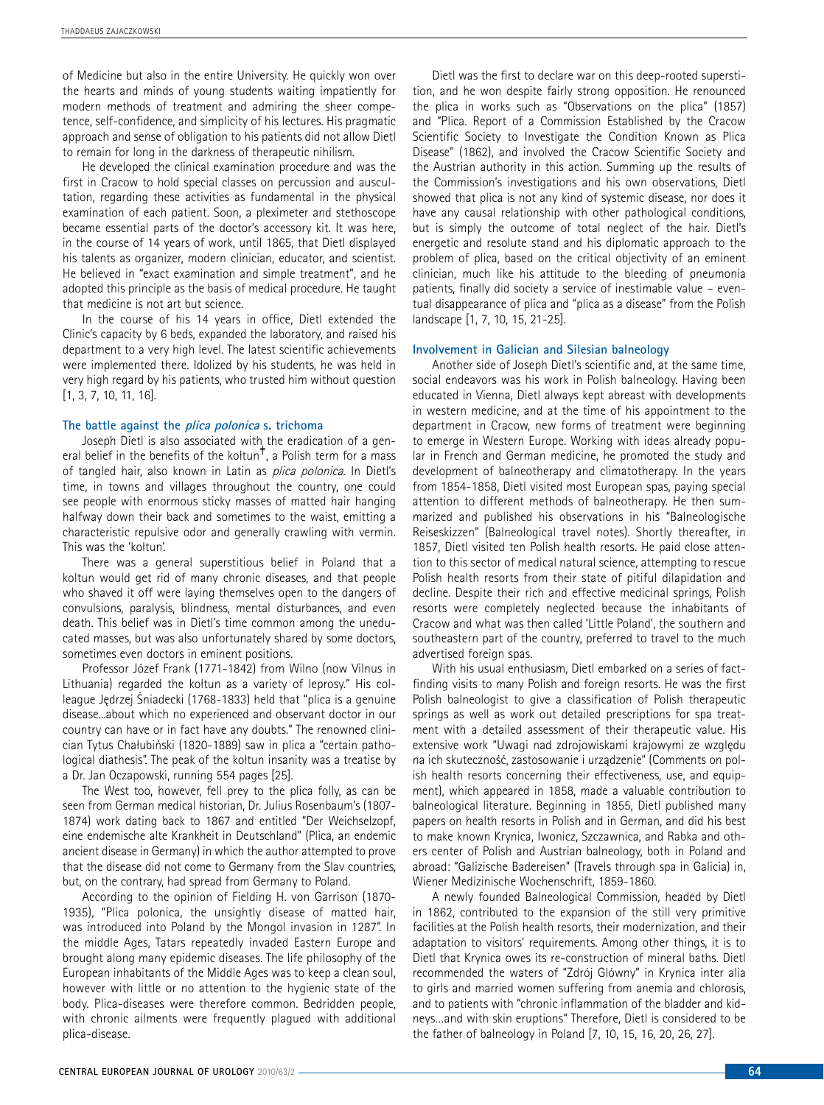of Medicine but also in the entire University. He quickly won over the hearts and minds of young students waiting impatiently for modern methods of treatment and admiring the sheer competence, self-confidence, and simplicity of his lectures. His pragmatic approach and sense of obligation to his patients did not allow Dietl to remain for long in the darkness of therapeutic nihilism.

He developed the clinical examination procedure and was the first in Cracow to hold special classes on percussion and auscultation, regarding these activities as fundamental in the physical examination of each patient. Soon, a pleximeter and stethoscope became essential parts of the doctor's accessory kit. It was here, in the course of 14 years of work, until 1865, that Dietl displayed his talents as organizer, modern clinician, educator, and scientist. He believed in "exact examination and simple treatment", and he adopted this principle as the basis of medical procedure. He taught that medicine is not art but science.

In the course of his 14 years in office, Dietl extended the Clinic's capacity by 6 beds, expanded the laboratory, and raised his department to a very high level. The latest scientific achievements were implemented there. Idolized by his students, he was held in very high regard by his patients, who trusted him without question [1, 3, 7, 10, 11, 16].

## **The battle against the plica polonica s. trichoma**

Joseph Dietl is also associated with the eradication of a general belief in the benefits of the koltun<sup>#</sup>, a Polish term for a mass of tangled hair, also known in Latin as *plica polonica*. In Dietl's time, in towns and villages throughout the country, one could see people with enormous sticky masses of matted hair hanging halfway down their back and sometimes to the waist, emitting a characteristic repulsive odor and generally crawling with vermin. This was the 'kołtun'.

There was a general superstitious belief in Poland that a koltun would get rid of many chronic diseases, and that people who shaved it off were laying themselves open to the dangers of convulsions, paralysis, blindness, mental disturbances, and even death. This belief was in Dietl's time common among the uneducated masses, but was also unfortunately shared by some doctors, sometimes even doctors in eminent positions.

Professor Józef Frank (1771-1842) from Wilno (now Vilnus in Lithuania) regarded the kołtun as a variety of leprosy." His colleague Jędrzej Śniadecki (1768-1833) held that "plica is a genuine disease...about which no experienced and observant doctor in our country can have or in fact have any doubts." The renowned clinician Tytus Chałubiński (1820-1889) saw in plica a "certain pathological diathesis". The peak of the kołtun insanity was a treatise by a Dr. Jan Oczapowski, running 554 pages [25].

The West too, however, fell prey to the plica folly, as can be seen from German medical historian, Dr. Julius Rosenbaum's (1807- 1874) work dating back to 1867 and entitled "Der Weichselzopf, eine endemische alte Krankheit in Deutschland" (Plica, an endemic ancient disease in Germany) in which the author attempted to prove that the disease did not come to Germany from the Slav countries, but, on the contrary, had spread from Germany to Poland.

According to the opinion of Fielding H. von Garrison (1870- 1935), "Plica polonica, the unsightly disease of matted hair, was introduced into Poland by the Mongol invasion in 1287". In the middle Ages, Tatars repeatedly invaded Eastern Europe and brought along many epidemic diseases. The life philosophy of the European inhabitants of the Middle Ages was to keep a clean soul, however with little or no attention to the hygienic state of the body. Plica-diseases were therefore common. Bedridden people, with chronic ailments were frequently plagued with additional plica-disease.

Dietl was the first to declare war on this deep-rooted superstition, and he won despite fairly strong opposition. He renounced the plica in works such as "Observations on the plica" (1857) and "Plica. Report of a Commission Established by the Cracow Scientific Society to Investigate the Condition Known as Plica Disease" (1862), and involved the Cracow Scientific Society and the Austrian authority in this action. Summing up the results of the Commission's investigations and his own observations, Dietl showed that plica is not any kind of systemic disease, nor does it have any causal relationship with other pathological conditions, but is simply the outcome of total neglect of the hair. Dietl's energetic and resolute stand and his diplomatic approach to the problem of plica, based on the critical objectivity of an eminent clinician, much like his attitude to the bleeding of pneumonia patients, finally did society a service of inestimable value – eventual disappearance of plica and "plica as a disease" from the Polish landscape [1, 7, 10, 15, 21-25].

# **Involvement in Galician and Silesian balneology**

Another side of Joseph Dietl's scientific and, at the same time, social endeavors was his work in Polish balneology. Having been educated in Vienna, Dietl always kept abreast with developments in western medicine, and at the time of his appointment to the department in Cracow, new forms of treatment were beginning to emerge in Western Europe. Working with ideas already popular in French and German medicine, he promoted the study and development of balneotherapy and climatotherapy. In the years from 1854-1858, Dietl visited most European spas, paying special attention to different methods of balneotherapy. He then summarized and published his observations in his "Balneologische Reiseskizzen" (Balneological travel notes). Shortly thereafter, in 1857, Dietl visited ten Polish health resorts. He paid close attention to this sector of medical natural science, attempting to rescue Polish health resorts from their state of pitiful dilapidation and decline. Despite their rich and effective medicinal springs, Polish resorts were completely neglected because the inhabitants of Cracow and what was then called 'Little Poland', the southern and southeastern part of the country, preferred to travel to the much advertised foreign spas.

With his usual enthusiasm, Dietl embarked on a series of factfinding visits to many Polish and foreign resorts. He was the first Polish balneologist to give a classification of Polish therapeutic springs as well as work out detailed prescriptions for spa treatment with a detailed assessment of their therapeutic value. His extensive work "Uwagi nad zdrojowiskami krajowymi ze względu na ich skuteczność, zastosowanie i urządzenie" (Comments on polish health resorts concerning their effectiveness, use, and equipment), which appeared in 1858, made a valuable contribution to balneological literature. Beginning in 1855, Dietl published many papers on health resorts in Polish and in German, and did his best to make known Krynica, Iwonicz, Szczawnica, and Rabka and others center of Polish and Austrian balneology, both in Poland and abroad: "Galizische Badereisen" (Travels through spa in Galicia) in, Wiener Medizinische Wochenschrift, 1859-1860.

A newly founded Balneological Commission, headed by Dietl in 1862, contributed to the expansion of the still very primitive facilities at the Polish health resorts, their modernization, and their adaptation to visitors' requirements. Among other things, it is to Dietl that Krynica owes its re-construction of mineral baths. Dietl recommended the waters of "Zdrój Glówny" in Krynica inter alia to girls and married women suffering from anemia and chlorosis, and to patients with "chronic inflammation of the bladder and kidneys…and with skin eruptions" Therefore, Dietl is considered to be the father of balneology in Poland [7, 10, 15, 16, 20, 26, 27].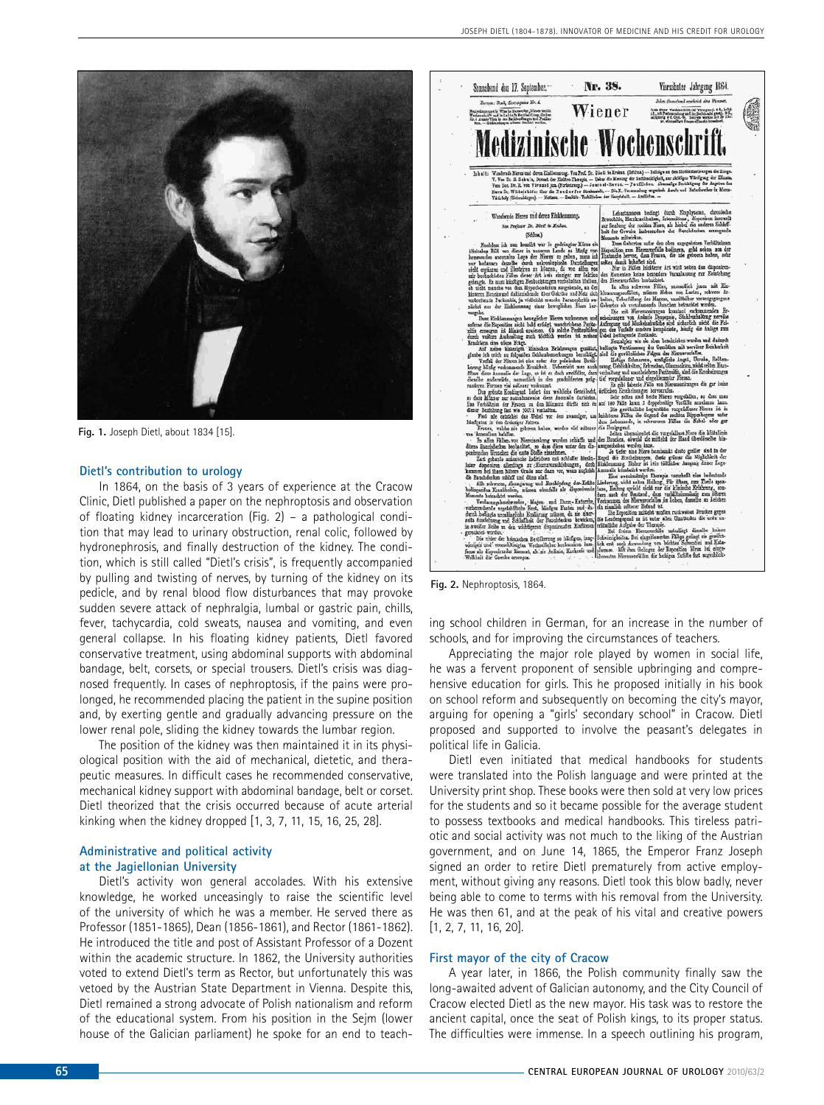

**Fig. 1.** Joseph Dietl, about 1834 [15].

#### **Dietl's contribution to urology**

In 1864, on the basis of 3 years of experience at the Cracow Clinic, Dietl published a paper on the nephroptosis and observation of floating kidney incarceration (Fig. 2) – a pathological condition that may lead to urinary obstruction, renal colic, followed by hydronephrosis, and finally destruction of the kidney. The condition, which is still called "Dietl's crisis", is frequently accompanied by pulling and twisting of nerves, by turning of the kidney on its pedicle, and by renal blood flow disturbances that may provoke sudden severe attack of nephralgia, lumbal or gastric pain, chills, fever, tachycardia, cold sweats, nausea and vomiting, and even general collapse. In his floating kidney patients, Dietl favored conservative treatment, using abdominal supports with abdominal bandage, belt, corsets, or special trousers. Dietl's crisis was diagnosed frequently. In cases of nephroptosis, if the pains were prolonged, he recommended placing the patient in the supine position and, by exerting gentle and gradually advancing pressure on the lower renal pole, sliding the kidney towards the lumbar region.

The position of the kidney was then maintained it in its physiological position with the aid of mechanical, dietetic, and therapeutic measures. In difficult cases he recommended conservative, mechanical kidney support with abdominal bandage, belt or corset. Dietl theorized that the crisis occurred because of acute arterial kinking when the kidney dropped [1, 3, 7, 11, 15, 16, 25, 28].

### **Administrative and political activity at the Jagiellonian University**

Dietl's activity won general accolades. With his extensive knowledge, he worked unceasingly to raise the scientific level of the university of which he was a member. He served there as Professor (1851-1865), Dean (1856-1861), and Rector (1861-1862). He introduced the title and post of Assistant Professor of a Dozent within the academic structure. In 1862, the University authorities voted to extend Dietl's term as Rector, but unfortunately this was vetoed by the Austrian State Department in Vienna. Despite this, Dietl remained a strong advocate of Polish nationalism and reform of the educational system. From his position in the Sejm (lower house of the Galician parliament) he spoke for an end to teach-



ing school children in German, for an increase in the number of schools, and for improving the circumstances of teachers.

Appreciating the major role played by women in social life, he was a fervent proponent of sensible upbringing and comprehensive education for girls. This he proposed initially in his book on school reform and subsequently on becoming the city's mayor, arguing for opening a "girls' secondary school" in Cracow. Dietl proposed and supported to involve the peasant's delegates in political life in Galicia.

Dietl even initiated that medical handbooks for students were translated into the Polish language and were printed at the University print shop. These books were then sold at very low prices for the students and so it became possible for the average student to possess textbooks and medical handbooks. This tireless patriotic and social activity was not much to the liking of the Austrian government, and on June 14, 1865, the Emperor Franz Joseph signed an order to retire Dietl prematurely from active employment, without giving any reasons. Dietl took this blow badly, never being able to come to terms with his removal from the University. He was then 61, and at the peak of his vital and creative powers [1, 2, 7, 11, 16, 20].

#### **First mayor of the city of Cracow**

A year later, in 1866, the Polish community finally saw the long-awaited advent of Galician autonomy, and the City Council of Cracow elected Dietl as the new mayor. His task was to restore the ancient capital, once the seat of Polish kings, to its proper status. The difficulties were immense. In a speech outlining his program,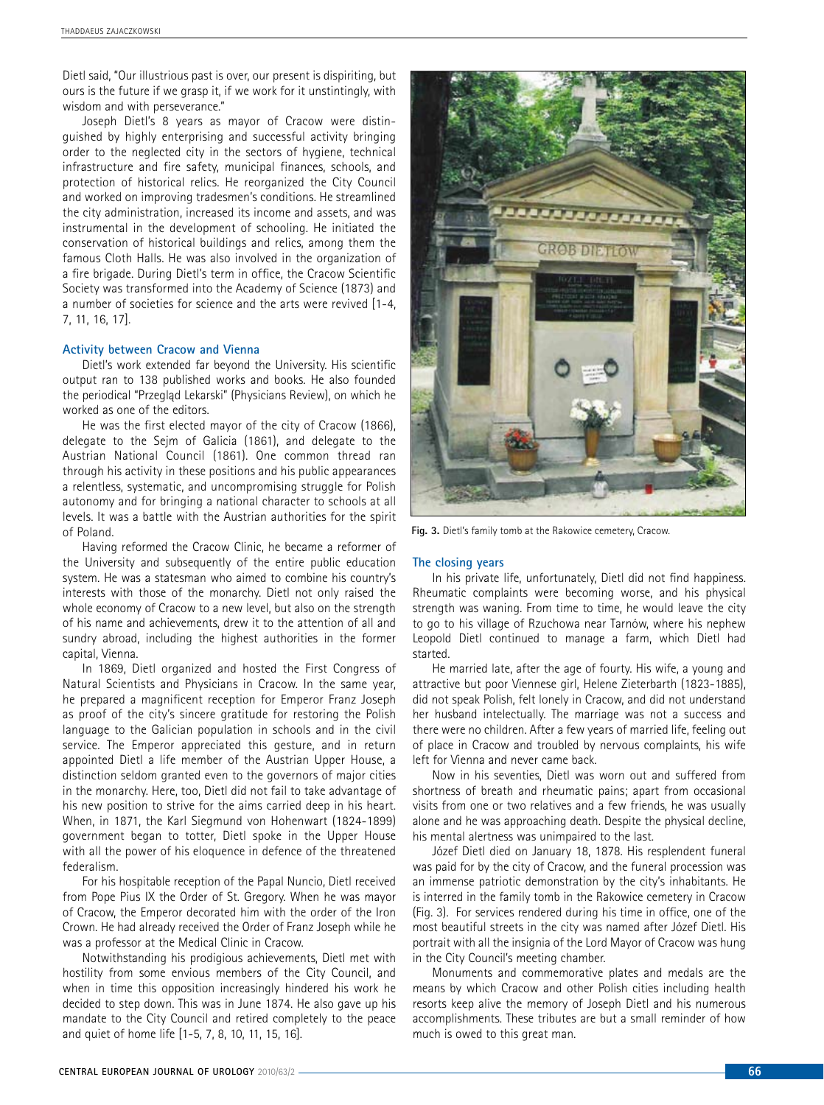Dietl said, "Our illustrious past is over, our present is dispiriting, but ours is the future if we grasp it, if we work for it unstintingly, with wisdom and with perseverance."

Joseph Dietl's 8 years as mayor of Cracow were distinguished by highly enterprising and successful activity bringing order to the neglected city in the sectors of hygiene, technical infrastructure and fire safety, municipal finances, schools, and protection of historical relics. He reorganized the City Council and worked on improving tradesmen's conditions. He streamlined the city administration, increased its income and assets, and was instrumental in the development of schooling. He initiated the conservation of historical buildings and relics, among them the famous Cloth Halls. He was also involved in the organization of a fire brigade. During Dietl's term in office, the Cracow Scientific Society was transformed into the Academy of Science (1873) and a number of societies for science and the arts were revived [1-4, 7, 11, 16, 17].

#### **Activity between Cracow and Vienna**

Dietl's work extended far beyond the University. His scientific output ran to 138 published works and books. He also founded the periodical "Przegląd Lekarski" (Physicians Review), on which he worked as one of the editors.

He was the first elected mayor of the city of Cracow (1866), delegate to the Sejm of Galicia (1861), and delegate to the Austrian National Council (1861). One common thread ran through his activity in these positions and his public appearances a relentless, systematic, and uncompromising struggle for Polish autonomy and for bringing a national character to schools at all levels. It was a battle with the Austrian authorities for the spirit of Poland.

Having reformed the Cracow Clinic, he became a reformer of the University and subsequently of the entire public education system. He was a statesman who aimed to combine his country's interests with those of the monarchy. Dietl not only raised the whole economy of Cracow to a new level, but also on the strength of his name and achievements, drew it to the attention of all and sundry abroad, including the highest authorities in the former capital, Vienna.

In 1869, Dietl organized and hosted the First Congress of Natural Scientists and Physicians in Cracow. In the same year, he prepared a magnificent reception for Emperor Franz Joseph as proof of the city's sincere gratitude for restoring the Polish language to the Galician population in schools and in the civil service. The Emperor appreciated this gesture, and in return appointed Dietl a life member of the Austrian Upper House, a distinction seldom granted even to the governors of major cities in the monarchy. Here, too, Dietl did not fail to take advantage of his new position to strive for the aims carried deep in his heart. When, in 1871, the Karl Siegmund von Hohenwart (1824-1899) government began to totter, Dietl spoke in the Upper House with all the power of his eloquence in defence of the threatened federalism.

For his hospitable reception of the Papal Nuncio, Dietl received from Pope Pius IX the Order of St. Gregory. When he was mayor of Cracow, the Emperor decorated him with the order of the Iron Crown. He had already received the Order of Franz Joseph while he was a professor at the Medical Clinic in Cracow.

Notwithstanding his prodigious achievements, Dietl met with hostility from some envious members of the City Council, and when in time this opposition increasingly hindered his work he decided to step down. This was in June 1874. He also gave up his mandate to the City Council and retired completely to the peace and quiet of home life [1-5, 7, 8, 10, 11, 15, 16].



**Fig. 3.** Dietl's family tomb at the Rakowice cemetery, Cracow.

#### **The closing years**

In his private life, unfortunately, Dietl did not find happiness. Rheumatic complaints were becoming worse, and his physical strength was waning. From time to time, he would leave the city to go to his village of Rzuchowa near Tarnów, where his nephew Leopold Dietl continued to manage a farm, which Dietl had started.

He married late, after the age of fourty. His wife, a young and attractive but poor Viennese girl, Helene Zieterbarth (1823-1885), did not speak Polish, felt lonely in Cracow, and did not understand her husband intelectually. The marriage was not a success and there were no children. After a few years of married life, feeling out of place in Cracow and troubled by nervous complaints, his wife left for Vienna and never came back.

Now in his seventies, Dietl was worn out and suffered from shortness of breath and rheumatic pains; apart from occasional visits from one or two relatives and a few friends, he was usually alone and he was approaching death. Despite the physical decline, his mental alertness was unimpaired to the last.

Józef Dietl died on January 18, 1878. His resplendent funeral was paid for by the city of Cracow, and the funeral procession was an immense patriotic demonstration by the city's inhabitants. He is interred in the family tomb in the Rakowice cemetery in Cracow (Fig. 3). For services rendered during his time in office, one of the most beautiful streets in the city was named after Józef Dietl. His portrait with all the insignia of the Lord Mayor of Cracow was hung in the City Council's meeting chamber.

Monuments and commemorative plates and medals are the means by which Cracow and other Polish cities including health resorts keep alive the memory of Joseph Dietl and his numerous accomplishments. These tributes are but a small reminder of how much is owed to this great man.